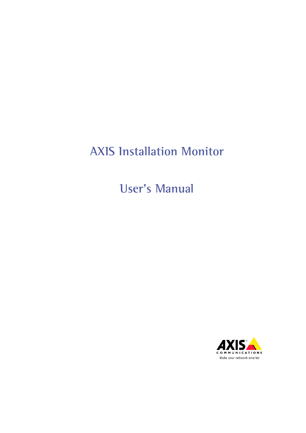# **AXIS Installation Monitor**

**User's Manual**

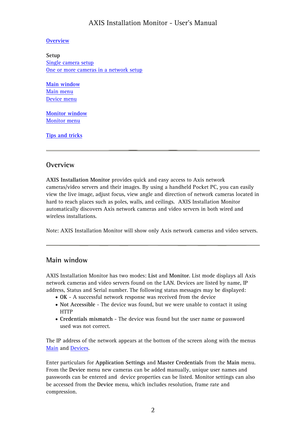#### **Overview**

**Setup** [Single camera setup](#page-4-0) [One or more cameras in a network setup](#page-5-0)

**Main window** [Main menu](#page-2-0) [Device menu](#page-3-0)

**[Monitor window](#page-2-0)** [Monitor menu](#page-4-0) 

**[Tips and tricks](#page-5-1)**

### **Overview**

**AXIS Installation Monitor** provides quick and easy access to Axis network cameras/video servers and their images. By using a handheld Pocket PC, you can easily view the live image, adjust focus, view angle and direction of network cameras located in hard to reach places such as poles, walls, and ceilings. AXIS Installation Monitor automatically discovers Axis network cameras and video servers in both wired and wireless installations.

Note: AXIS Installation Monitor will show only Axis network cameras and video servers.

## **Main window**

AXIS Installation Monitor has two modes: **List** and **Monitor**. List mode displays all Axis network cameras and video servers found on the LAN. Devices are listed by name, IP address, Status and Serial number. The following status messages may be displayed:

- **OK** A successful network response was received from the device
- **Not Accessible** The device was found, but we were unable to contact it using **HTTP**
- **Credentials mismatch** The device was found but the user name or password used was not correct.

The IP address of the network appears at the bottom of the screen along with the menus [Main](#page-2-0) and [Devices](#page-3-0).

Enter particulars for **Application Settings** and **Master Credentials** from the **Main** menu. From the **Device** menu new cameras can be added manually, unique user names and passwords can be entered and device properties can be listed. Monitor settings can also be accessed from the **Device** menu, which includes resolution, frame rate and compression.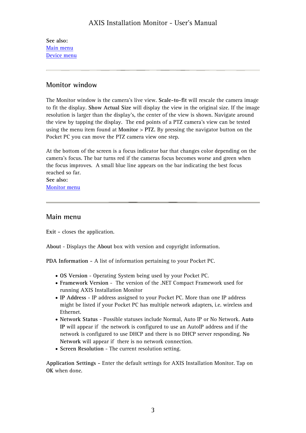<span id="page-2-0"></span>**See also:** Main menu [Device menu](#page-3-0)

## **Monitor window**

The Monitor window is the camera's live view. **Scale-to-fit** will rescale the camera image to fit the display. **Show Actual Size** will display the view in the original size. If the image resolution is larger than the display's, the center of the view is shown. Navigate around the view by tapping the display. The end points of a PTZ camera's view can be tested using the menu item found at **Monitor** > **PTZ.** By pressing the navigator button on the Pocket PC you can move the PTZ camera view one step.

At the bottom of the screen is a focus indicator bar that changes color depending on the camera's focus. The bar turns red if the cameras focus becomes worse and green when the focus improves. A small blue line appears on the bar indicating the best focus reached so far.

**See also:** [Monitor menu](#page-4-0)

## **Main menu**

**Exit -** closes the application.

**About** - Displays the **About** box with version and copyright information.

**PDA Information -** A list of information pertaining to your Pocket PC.

- **OS Version** Operating System being used by your Pocket PC.
- **Framework Version** The version of the .NET Compact Framework used for running AXIS Installation Monitor
- **IP Address** IP address assigned to your Pocket PC. More than one IP address might be listed if your Pocket PC has multiple network adapters, i.e. wireless and Ethernet.
- **Network Status** Possible statuses include Normal, Auto IP or No Network. **Auto IP** will appear if the network is configured to use an AutoIP address and if the network is configured to use DHCP and there is no DHCP server responding. **No Network** will appear if there is no network connection.
- **Screen Resolution** The current resolution setting.

**Application Settings -** Enter the default settings for AXIS Installation Monitor. Tap on **OK** when done.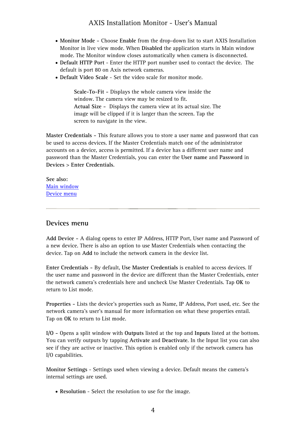- <span id="page-3-0"></span>• **Monitor Mode -** Choose **Enable** from the drop-down list to start AXIS Installation Monitor in live view mode. When **Disabled** the application starts in Main window mode. The Monitor window closes automatically when camera is disconnected.
- **Default HTTP Port** Enter the HTTP port number used to contact the device. The default is port 80 on Axis network cameras.
- **Default Video Scale** Set the video scale for monitor mode.

**Scale-To-Fit -** Displays the whole camera view inside the window. The camera view may be resized to fit. **Actual Size -** Displays the camera view at its actual size. The image will be clipped if it is larger than the screen. Tap the screen to navigate in the view.

**Master Credentials -** This feature allows you to store a user name and password that can be used to access devices. If the Master Credentials match one of the administrator accounts on a device, access is permitted. If a device has a different user name and password than the Master Credentials, you can enter the **User name** and **Password** in **Devices** > **Enter Credentials**.

**See also:** [Main window](#page-2-0) Device menu

### **Devices menu**

**Add Device -** A dialog opens to enter IP Address, HTTP Port, User name and Password of a new device. There is also an option to use Master Credentials when contacting the device. Tap on **Add** to include the network camera in the device list.

**Enter Credentials -** By default, **Use Master Credentials** is enabled to access devices. If the user name and password in the device are different than the Master Credentials, enter the network camera's credentials here and uncheck Use Master Credentials. Tap **OK** to return to List mode.

**Properties -** Lists the device's properties such as Name, IP Address, Port used, etc. See the network camera's user's manual for more information on what these properties entail. Tap on **OK** to return to List mode.

**I/O -** Opens a split window with **Outputs** listed at the top and **Inputs** listed at the bottom. You can verify outputs by tapping **Activate** and **Deactivate**. In the Input list you can also see if they are active or inactive. This option is enabled only if the network camera has I/O capabilities.

**Monitor Settings** - Settings used when viewing a device. Default means the camera's internal settings are used.

• **Resolution** - Select the resolution to use for the image.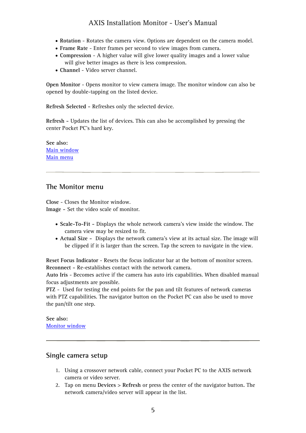- <span id="page-4-0"></span>• **Rotation** - Rotates the camera view. Options are dependent on the camera model.
- **Frame Rate** Enter frames per second to view images from camera.
- **Compression** A higher value will give lower quality images and a lower value will give better images as there is less compression.
- **Channel** Video server channel.

**Open Monitor** - Opens monitor to view camera image. The monitor window can also be opened by double-tapping on the listed device.

**Refresh Selected -** Refreshes only the selected device.

**Refresh -** Updates the list of devices. This can also be accomplished by pressing the center Pocket PC's hard key.

**See also:** [Main window](#page-2-0) [Main menu](#page-2-0)

## **The Monitor menu**

**Close** - Closes the Monitor window. **Image -** Set the video scale of monitor.

- **Scale-To-Fit** Displays the whole network camera's view inside the window. The camera view may be resized to fit.
- **Actual Size** Displays the network camera's view at its actual size. The image will be clipped if it is larger than the screen. Tap the screen to navigate in the view.

**Reset Focus Indicator** - Resets the focus indicator bar at the bottom of monitor screen. **Reconnect -** Re-establishes contact with the network camera.

**Auto Iris** - Becomes active if the camera has auto iris capabilities. When disabled manual focus adjustments are possible.

**PTZ** - Used for testing the end points for the pan and tilt features of network cameras with PTZ capabilities. The navigator button on the Pocket PC can also be used to move the pan/tilt one step.

**See also:** [Monitor window](#page-2-0)

#### **Single camera setup**

- 1. Using a crossover network cable, connect your Pocket PC to the AXIS network camera or video server.
- 2. Tap on menu **Devices** > **Refresh** or press the center of the navigator button**.** The network camera/video server will appear in the list.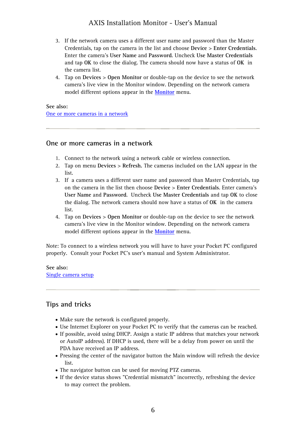- <span id="page-5-1"></span><span id="page-5-0"></span>3. If the network camera uses a different user name and password than the Master Credentials, tap on the camera in the list and choose **Device** > **Enter Credentials**. Enter the camera's **User Name** and **Password**. Uncheck **Use Master Credentials** and tap **OK** to close the dialog. The camera should now have a status of **OK** in the camera list.
- 4. Tap on **Devices** > **Open Monitor** or double-tap on the device to see the network camera's live view in the Monitor window. Depending on the network camera model different options appear in the **[Monitor](#page-4-0)** menu.

#### **See also:**

One or more cameras in a network

#### **One or more cameras in a network**

- 1. Connect to the network using a network cable or wireless connection.
- 2. Tap on menu **Devices** > **Refresh.** The cameras included on the LAN appear in the list.
- 3. If a camera uses a different user name and password than Master Credentials, tap on the camera in the list then choose **Device** > **Enter Credentials**. Enter camera's **User Name** and **Password**. Uncheck **Use Master Credentials** and tap **OK** to close the dialog. The network camera should now have a status of **OK** in the camera list.
- 4. Tap on **Devices** > **Open Monitor** or double-tap on the device to see the network camera's live view in the Monitor window. Depending on the network camera model different options appear in the **[Monitor](#page-4-0)** menu.

Note: To connect to a wireless network you will have to have your Pocket PC configured properly. Consult your Pocket PC's user's manual and System Administrator.

**See also:** [Single camera setup](#page-4-0)

## **Tips and tricks**

- Make sure the network is configured properly.
- Use Internet Explorer on your Pocket PC to verify that the cameras can be reached.
- If possible, avoid using DHCP. Assign a static IP address that matches your network or AutoIP address). If DHCP is used, there will be a delay from power on until the PDA have received an IP address.
- Pressing the center of the navigator button the Main window will refresh the device list.
- The navigator button can be used for moving PTZ cameras.
- If the device status shows "Credential mismatch" incorrectly, refreshing the device to may correct the problem.